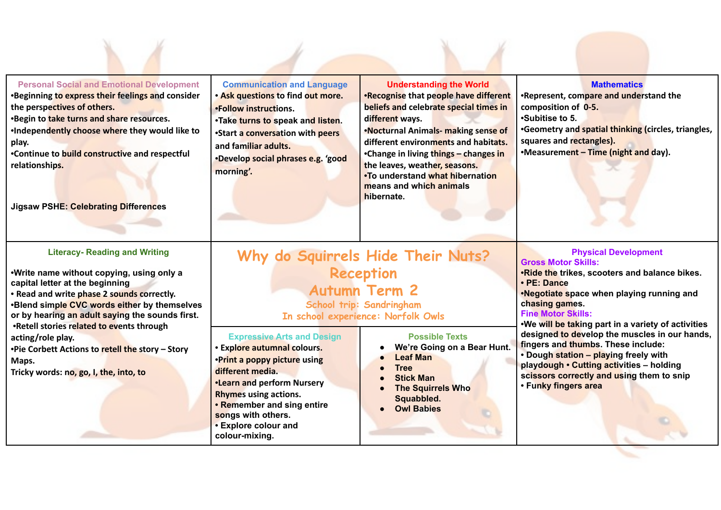| <b>Personal Social and Emotional Development</b><br><b>Beginning to express their feelings and consider</b><br>the perspectives of others.<br><b>Begin to take turns and share resources.</b><br>Independently choose where they would like to<br>play.<br>•Continue to build constructive and respectful<br>relationships.<br>Jigsaw PSHE: Celebrating Differences                                                                                 | <b>Communication and Language</b><br>. Ask questions to find out more.<br>•Follow instructions.<br>.Take turns to speak and listen.<br>•Start a conversation with peers<br>and familiar adults.<br>·Develop social phrases e.g. 'good<br>morning'.                               | <b>Understanding the World</b><br>.Recognise that people have different<br>beliefs and celebrate special times in<br>different ways.<br>.Nocturnal Animals- making sense of<br>different environments and habitats.<br>•Change in living things - changes in<br>the leaves, weather, seasons.<br>.To understand what hibernation<br>means and which animals<br>hibernate. | <b>Mathematics</b><br>.Represent, compare and understand the<br>composition of 0-5.<br><b>Subitise to 5.</b><br>•Geometry and spatial thinking (circles, triangles,<br>squares and rectangles).<br>•Measurement - Time (night and day).                                                                                                                                                                                                                                                                                      |
|-----------------------------------------------------------------------------------------------------------------------------------------------------------------------------------------------------------------------------------------------------------------------------------------------------------------------------------------------------------------------------------------------------------------------------------------------------|----------------------------------------------------------------------------------------------------------------------------------------------------------------------------------------------------------------------------------------------------------------------------------|---------------------------------------------------------------------------------------------------------------------------------------------------------------------------------------------------------------------------------------------------------------------------------------------------------------------------------------------------------------------------|------------------------------------------------------------------------------------------------------------------------------------------------------------------------------------------------------------------------------------------------------------------------------------------------------------------------------------------------------------------------------------------------------------------------------------------------------------------------------------------------------------------------------|
| <b>Literacy- Reading and Writing</b><br>Write name without copying, using only a<br>capital letter at the beginning<br>· Read and write phase 2 sounds correctly.<br><b>Blend simple CVC words either by themselves</b><br>or by hearing an adult saying the sounds first.<br>.Retell stories related to events through<br>acting/role play.<br>•Pie Corbett Actions to retell the story - Story<br>Maps.<br>Tricky words: no, go, I, the, into, to | <b>Expressive Arts and Design</b><br>· Explore autumnal colours.<br>.Print a poppy picture using<br>different media.<br>.Learn and perform Nursery<br><b>Rhymes using actions.</b><br>• Remember and sing entire<br>songs with others.<br>• Explore colour and<br>colour-mixing. | Why do Squirrels Hide Their Nuts?<br><b>Reception</b><br><b>Autumn Term 2</b><br>School trip: Sandringham<br>In school experience: Norfolk Owls<br><b>Possible Texts</b><br>We're Going on a Bear Hunt.<br><b>Leaf Man</b><br><b>Tree</b><br><b>Stick Man</b><br><b>The Squirrels Who</b><br>Squabbled.<br><b>Owl Babies</b>                                              | <b>Physical Development</b><br><b>Gross Motor Skills:</b><br>.Ride the trikes, scooters and balance bikes.<br>• PE: Dance<br>.Negotiate space when playing running and<br>chasing games.<br><b>Fine Motor Skills:</b><br>.We will be taking part in a variety of activities<br>designed to develop the muscles in our hands,<br>fingers and thumbs. These include:<br>• Dough station - playing freely with<br>playdough • Cutting activities - holding<br>scissors correctly and using them to snip<br>• Funky fingers area |